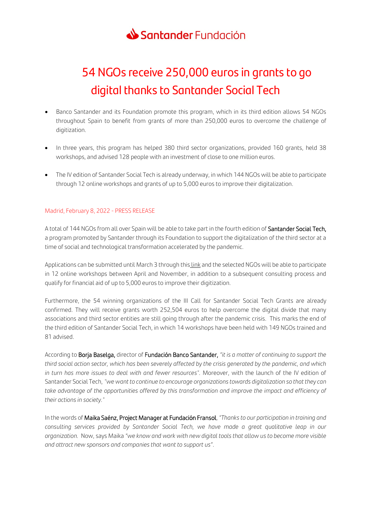

# 54 NGOs receive 250,000 euros in grants to go digital thanks to Santander Social Tech

- Banco Santander and its Foundation promote this program, which in its third edition allows 54 NGOs throughout Spain to benefit from grants of more than 250,000 euros to overcome the challenge of digitization.
- In three years, this program has helped 380 third sector organizations, provided 160 grants, held 38 workshops, and advised 128 people with an investment of close to one million euros.
- The IV edition of Santander Social Tech is already underway, in which 144 NGOs will be able to participate through 12 online workshops and grants of up to 5,000 euros to improve their digitalization.

## Madrid, February 8, 2022 - PRESS RELEASE

A total of 144 NGOs from all over Spain will be able to take part in the fourth edition of Santander Social Tech, a program promoted by Santander through its Foundation to support the digitalization of the third sector at a time of social and technological transformation accelerated by the pandemic.

Applications can be submitted until March 3 through this [link](https://www.fundacionbancosantander.com/es/accion-social/santander-ayuda) and the selected NGOs will be able to participate in 12 online workshops between April and November, in addition to a subsequent consulting process and qualify for financial aid of up to 5,000 euros to improve their digitization.

Furthermore, the 54 winning organizations of the III Call for Santander Social Tech Grants are already confirmed. They will receive grants worth 252,504 euros to help overcome the digital divide that many associations and third sector entities are still going through after the pandemic crisis. This marks the end of the third edition of Santander Social Tech, in which 14 workshops have been held with 149 NGOs trained and 81 advised.

According to Borja Baselga, director of Fundación Banco Santander, *"it is a matter of continuing to support the third social action sector, which has been severely affected by the crisis generated by the pandemic, and which in turn has more issues to deal with and fewer resources".* Moreover, with the launch of the IV edition of Santander Social Tech, *"we want to continue to encourage organizations towards digitalization so that they can*  take advantage of the opportunities offered by this transformation and improve the impact and efficiency of *their actions in society."*

In the words of Maika Saénz, Project Manager at Fundación Fransol,*"Thanks to our participation in training and consulting services provided by Santander Social Tech, we have made a great qualitative leap in our organization.* Now, says Maika *"we know and work with new digital tools that allow us to become more visible and attract new sponsors and companies that want to support us"*.